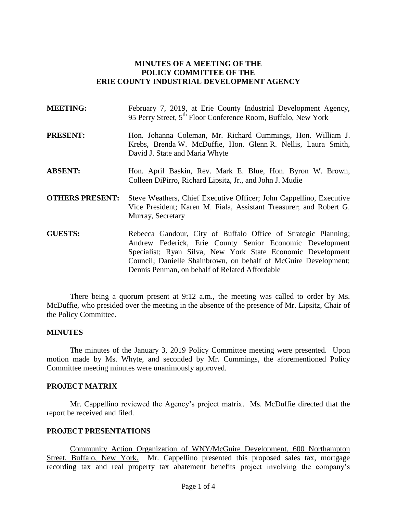## **MINUTES OF A MEETING OF THE POLICY COMMITTEE OF THE ERIE COUNTY INDUSTRIAL DEVELOPMENT AGENCY**

| <b>MEETING:</b>        | February 7, 2019, at Erie County Industrial Development Agency,<br>95 Perry Street, 5 <sup>th</sup> Floor Conference Room, Buffalo, New York                                              |  |
|------------------------|-------------------------------------------------------------------------------------------------------------------------------------------------------------------------------------------|--|
| <b>PRESENT:</b>        | Hon. Johanna Coleman, Mr. Richard Cummings, Hon. William J.<br>Krebs, Brenda W. McDuffie, Hon. Glenn R. Nellis, Laura Smith,<br>David J. State and Maria Whyte                            |  |
| <b>ABSENT:</b>         | Hon. April Baskin, Rev. Mark E. Blue, Hon. Byron W. Brown,<br>Colleen DiPirro, Richard Lipsitz, Jr., and John J. Mudie                                                                    |  |
| <b>OTHERS PRESENT:</b> | Steve Weathers, Chief Executive Officer; John Cappellino, Executive<br>Vice President; Karen M. Fiala, Assistant Treasurer; and Robert G.<br>Murray, Secretary                            |  |
| <b>GUESTS:</b>         | Rebecca Gandour, City of Buffalo Office of Strategic Planning;<br>Andrew Federick, Erie County Senior Economic Development<br>Specialist; Ryan Silva, New York State Economic Development |  |

There being a quorum present at 9:12 a.m., the meeting was called to order by Ms. McDuffie, who presided over the meeting in the absence of the presence of Mr. Lipsitz, Chair of the Policy Committee.

Dennis Penman, on behalf of Related Affordable

Council; Danielle Shainbrown, on behalf of McGuire Development;

## **MINUTES**

The minutes of the January 3, 2019 Policy Committee meeting were presented. Upon motion made by Ms. Whyte, and seconded by Mr. Cummings, the aforementioned Policy Committee meeting minutes were unanimously approved.

### **PROJECT MATRIX**

Mr. Cappellino reviewed the Agency's project matrix. Ms. McDuffie directed that the report be received and filed.

#### **PROJECT PRESENTATIONS**

Community Action Organization of WNY/McGuire Development, 600 Northampton Street, Buffalo, New York. Mr. Cappellino presented this proposed sales tax, mortgage recording tax and real property tax abatement benefits project involving the company's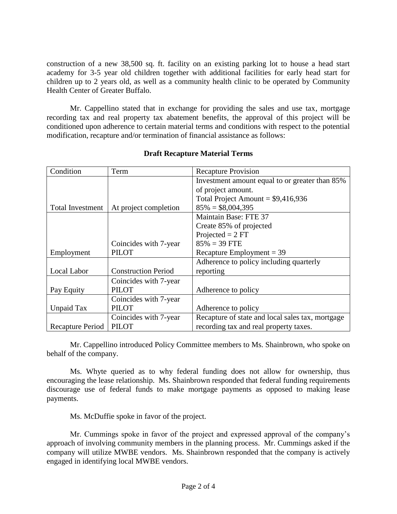construction of a new 38,500 sq. ft. facility on an existing parking lot to house a head start academy for 3-5 year old children together with additional facilities for early head start for children up to 2 years old, as well as a community health clinic to be operated by Community Health Center of Greater Buffalo.

Mr. Cappellino stated that in exchange for providing the sales and use tax, mortgage recording tax and real property tax abatement benefits, the approval of this project will be conditioned upon adherence to certain material terms and conditions with respect to the potential modification, recapture and/or termination of financial assistance as follows:

| Condition        | Term                       | <b>Recapture Provision</b>                       |
|------------------|----------------------------|--------------------------------------------------|
|                  |                            | Investment amount equal to or greater than 85%   |
|                  |                            | of project amount.                               |
|                  |                            | Total Project Amount = $$9,416,936$              |
| Total Investment | At project completion      | $85\% = $8,004,395$                              |
|                  |                            | Maintain Base: FTE 37                            |
|                  |                            | Create 85% of projected                          |
|                  |                            | Projected $= 2 FT$                               |
|                  | Coincides with 7-year      | $85\% = 39$ FTE                                  |
| Employment       | <b>PILOT</b>               | Recapture Employment = $39$                      |
|                  |                            | Adherence to policy including quarterly          |
| Local Labor      | <b>Construction Period</b> | reporting                                        |
|                  | Coincides with 7-year      |                                                  |
| Pay Equity       | <b>PILOT</b>               | Adherence to policy                              |
|                  | Coincides with 7-year      |                                                  |
| Unpaid Tax       | <b>PILOT</b>               | Adherence to policy                              |
|                  | Coincides with 7-year      | Recapture of state and local sales tax, mortgage |
| Recapture Period | <b>PILOT</b>               | recording tax and real property taxes.           |

# **Draft Recapture Material Terms**

Mr. Cappellino introduced Policy Committee members to Ms. Shainbrown, who spoke on behalf of the company.

Ms. Whyte queried as to why federal funding does not allow for ownership, thus encouraging the lease relationship. Ms. Shainbrown responded that federal funding requirements discourage use of federal funds to make mortgage payments as opposed to making lease payments.

Ms. McDuffie spoke in favor of the project.

Mr. Cummings spoke in favor of the project and expressed approval of the company's approach of involving community members in the planning process. Mr. Cummings asked if the company will utilize MWBE vendors. Ms. Shainbrown responded that the company is actively engaged in identifying local MWBE vendors.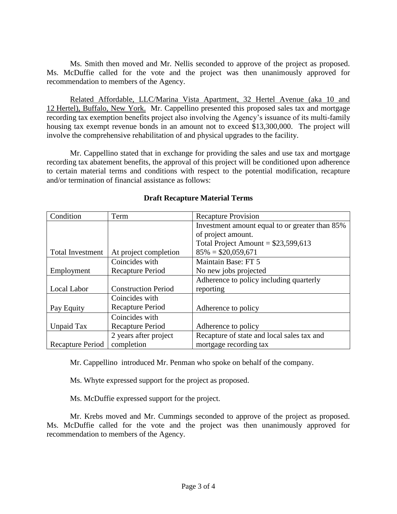Ms. Smith then moved and Mr. Nellis seconded to approve of the project as proposed. Ms. McDuffie called for the vote and the project was then unanimously approved for recommendation to members of the Agency.

Related Affordable, LLC/Marina Vista Apartment, 32 Hertel Avenue (aka 10 and 12 Hertel), Buffalo, New York. Mr. Cappellino presented this proposed sales tax and mortgage recording tax exemption benefits project also involving the Agency's issuance of its multi-family housing tax exempt revenue bonds in an amount not to exceed \$13,300,000. The project will involve the comprehensive rehabilitation of and physical upgrades to the facility.

Mr. Cappellino stated that in exchange for providing the sales and use tax and mortgage recording tax abatement benefits, the approval of this project will be conditioned upon adherence to certain material terms and conditions with respect to the potential modification, recapture and/or termination of financial assistance as follows:

| Condition               | Term                       | <b>Recapture Provision</b>                     |
|-------------------------|----------------------------|------------------------------------------------|
|                         |                            | Investment amount equal to or greater than 85% |
|                         |                            | of project amount.                             |
|                         |                            | Total Project Amount = $$23,599,613$           |
| <b>Total Investment</b> | At project completion      | $85\% = $20,059,671$                           |
|                         | Coincides with             | Maintain Base: FT 5                            |
| Employment              | <b>Recapture Period</b>    | No new jobs projected                          |
|                         |                            | Adherence to policy including quarterly        |
| Local Labor             | <b>Construction Period</b> | reporting                                      |
|                         | Coincides with             |                                                |
| Pay Equity              | <b>Recapture Period</b>    | Adherence to policy                            |
|                         | Coincides with             |                                                |
| Unpaid Tax              | Recapture Period           | Adherence to policy                            |
|                         | 2 years after project      | Recapture of state and local sales tax and     |
| <b>Recapture Period</b> | completion                 | mortgage recording tax                         |

## **Draft Recapture Material Terms**

Mr. Cappellino introduced Mr. Penman who spoke on behalf of the company.

Ms. Whyte expressed support for the project as proposed.

Ms. McDuffie expressed support for the project.

Mr. Krebs moved and Mr. Cummings seconded to approve of the project as proposed. Ms. McDuffie called for the vote and the project was then unanimously approved for recommendation to members of the Agency.